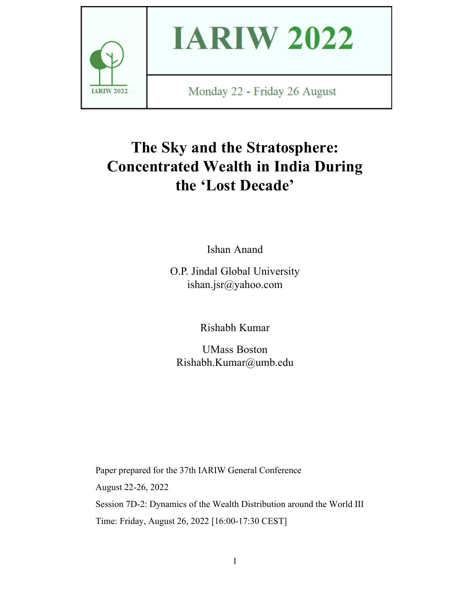

# **IARIW 2022**

Monday 22 - Friday 26 August

# **The Sky and the Stratosphere: Concentrated Wealth in India During the 'Lost Decade'**

Ishan Anand

O.P. Jindal Global University ishan.jsr@yahoo.com

Rishabh Kumar

UMass Boston Rishabh.Kumar@umb.edu

Paper prepared for the 37th IARIW General Conference August 22-26, 2022 Session 7D-2: Dynamics of the Wealth Distribution around the World III Time: Friday, August 26, 2022 [16:00-17:30 CEST]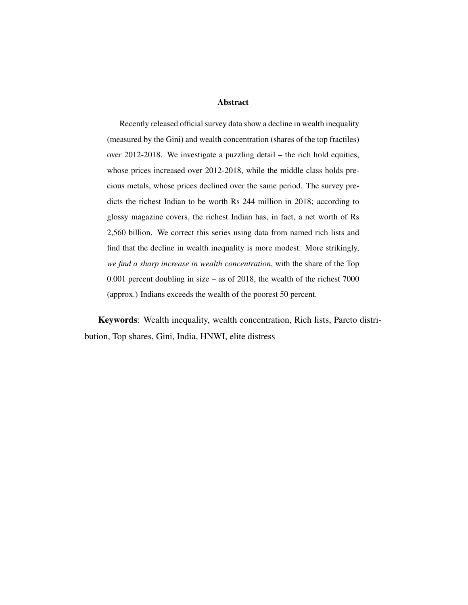#### Abstract

Recently released official survey data show a decline in wealth inequality (measured by the Gini) and wealth concentration (shares of the top fractiles) over 2012-2018. We investigate a puzzling detail – the rich hold equities, whose prices increased over 2012-2018, while the middle class holds precious metals, whose prices declined over the same period. The survey predicts the richest Indian to be worth Rs 244 million in 2018; according to glossy magazine covers, the richest Indian has, in fact, a net worth of Rs 2,560 billion. We correct this series using data from named rich lists and find that the decline in wealth inequality is more modest. More strikingly, *we find a sharp increase in wealth concentration*, with the share of the Top 0.001 percent doubling in size – as of 2018, the wealth of the richest 7000 (approx.) Indians exceeds the wealth of the poorest 50 percent.

Keywords: Wealth inequality, wealth concentration, Rich lists, Pareto distribution, Top shares, Gini, India, HNWI, elite distress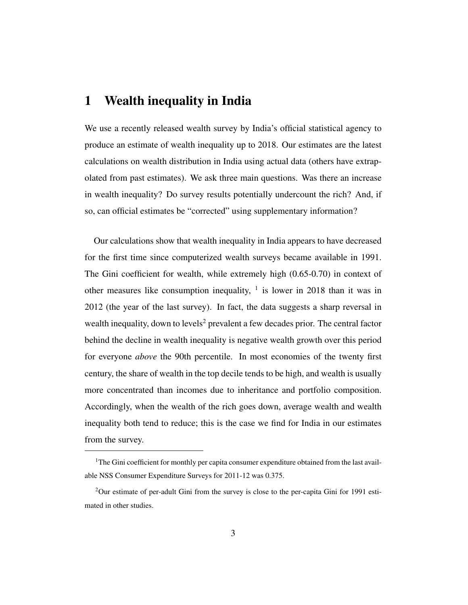## 1 Wealth inequality in India

We use a recently released wealth survey by India's official statistical agency to produce an estimate of wealth inequality up to 2018. Our estimates are the latest calculations on wealth distribution in India using actual data (others have extrapolated from past estimates). We ask three main questions. Was there an increase in wealth inequality? Do survey results potentially undercount the rich? And, if so, can official estimates be "corrected" using supplementary information?

Our calculations show that wealth inequality in India appears to have decreased for the first time since computerized wealth surveys became available in 1991. The Gini coefficient for wealth, while extremely high (0.65-0.70) in context of other measures like consumption inequality,  $1$  is lower in 2018 than it was in 2012 (the year of the last survey). In fact, the data suggests a sharp reversal in wealth inequality, down to levels<sup>2</sup> prevalent a few decades prior. The central factor behind the decline in wealth inequality is negative wealth growth over this period for everyone *above* the 90th percentile. In most economies of the twenty first century, the share of wealth in the top decile tends to be high, and wealth is usually more concentrated than incomes due to inheritance and portfolio composition. Accordingly, when the wealth of the rich goes down, average wealth and wealth inequality both tend to reduce; this is the case we find for India in our estimates from the survey.

<sup>&</sup>lt;sup>1</sup>The Gini coefficient for monthly per capita consumer expenditure obtained from the last available NSS Consumer Expenditure Surveys for 2011-12 was 0.375.

 $2$ Our estimate of per-adult Gini from the survey is close to the per-capita Gini for 1991 estimated in other studies.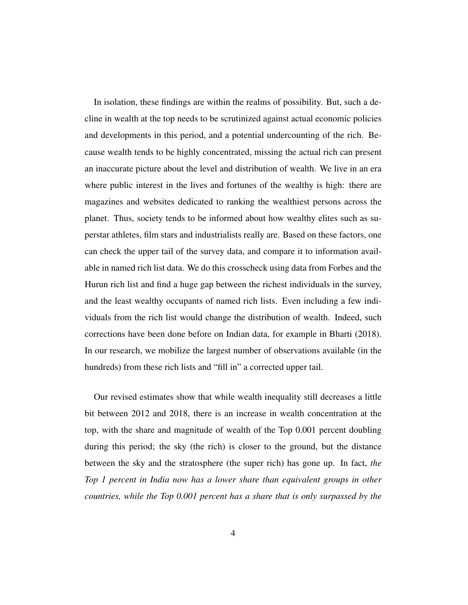In isolation, these findings are within the realms of possibility. But, such a decline in wealth at the top needs to be scrutinized against actual economic policies and developments in this period, and a potential undercounting of the rich. Because wealth tends to be highly concentrated, missing the actual rich can present an inaccurate picture about the level and distribution of wealth. We live in an era where public interest in the lives and fortunes of the wealthy is high: there are magazines and websites dedicated to ranking the wealthiest persons across the planet. Thus, society tends to be informed about how wealthy elites such as superstar athletes, film stars and industrialists really are. Based on these factors, one can check the upper tail of the survey data, and compare it to information available in named rich list data. We do this crosscheck using data from Forbes and the Hurun rich list and find a huge gap between the richest individuals in the survey, and the least wealthy occupants of named rich lists. Even including a few individuals from the rich list would change the distribution of wealth. Indeed, such corrections have been done before on Indian data, for example in Bharti (2018). In our research, we mobilize the largest number of observations available (in the hundreds) from these rich lists and "fill in" a corrected upper tail.

Our revised estimates show that while wealth inequality still decreases a little bit between 2012 and 2018, there is an increase in wealth concentration at the top, with the share and magnitude of wealth of the Top 0.001 percent doubling during this period; the sky (the rich) is closer to the ground, but the distance between the sky and the stratosphere (the super rich) has gone up. In fact, *the Top 1 percent in India now has a lower share than equivalent groups in other countries, while the Top 0.001 percent has a share that is only surpassed by the*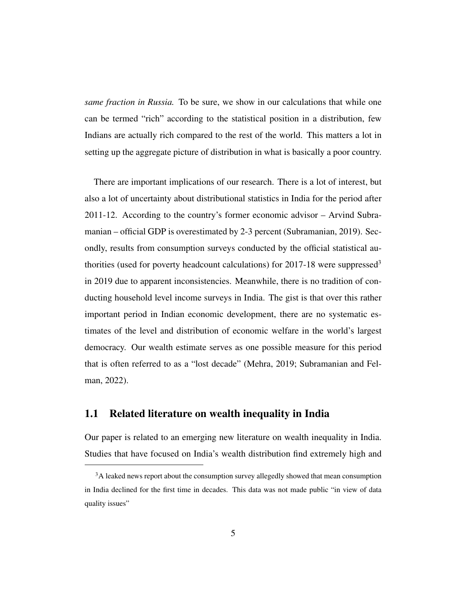*same fraction in Russia.* To be sure, we show in our calculations that while one can be termed "rich" according to the statistical position in a distribution, few Indians are actually rich compared to the rest of the world. This matters a lot in setting up the aggregate picture of distribution in what is basically a poor country.

There are important implications of our research. There is a lot of interest, but also a lot of uncertainty about distributional statistics in India for the period after 2011-12. According to the country's former economic advisor – Arvind Subramanian – official GDP is overestimated by 2-3 percent (Subramanian, 2019). Secondly, results from consumption surveys conducted by the official statistical authorities (used for poverty headcount calculations) for 2017-18 were suppressed<sup>3</sup> in 2019 due to apparent inconsistencies. Meanwhile, there is no tradition of conducting household level income surveys in India. The gist is that over this rather important period in Indian economic development, there are no systematic estimates of the level and distribution of economic welfare in the world's largest democracy. Our wealth estimate serves as one possible measure for this period that is often referred to as a "lost decade" (Mehra, 2019; Subramanian and Felman, 2022).

#### 1.1 Related literature on wealth inequality in India

Our paper is related to an emerging new literature on wealth inequality in India. Studies that have focused on India's wealth distribution find extremely high and

<sup>&</sup>lt;sup>3</sup>A leaked news report about the consumption survey allegedly showed that mean consumption in India declined for the first time in decades. This data was not made public "in view of data quality issues"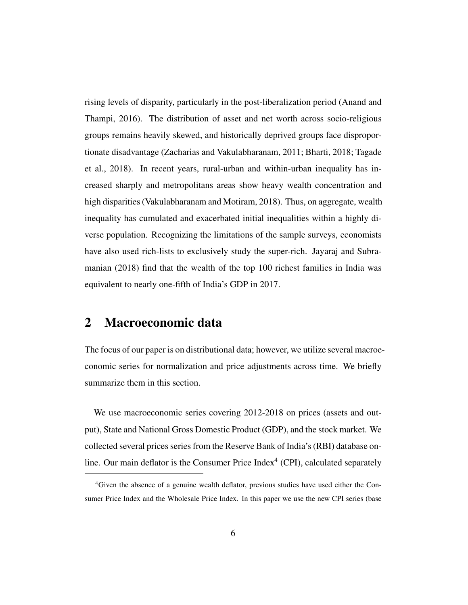rising levels of disparity, particularly in the post-liberalization period (Anand and Thampi, 2016). The distribution of asset and net worth across socio-religious groups remains heavily skewed, and historically deprived groups face disproportionate disadvantage (Zacharias and Vakulabharanam, 2011; Bharti, 2018; Tagade et al., 2018). In recent years, rural-urban and within-urban inequality has increased sharply and metropolitans areas show heavy wealth concentration and high disparities (Vakulabharanam and Motiram, 2018). Thus, on aggregate, wealth inequality has cumulated and exacerbated initial inequalities within a highly diverse population. Recognizing the limitations of the sample surveys, economists have also used rich-lists to exclusively study the super-rich. Jayaraj and Subramanian (2018) find that the wealth of the top 100 richest families in India was equivalent to nearly one-fifth of India's GDP in 2017.

### 2 Macroeconomic data

The focus of our paper is on distributional data; however, we utilize several macroeconomic series for normalization and price adjustments across time. We briefly summarize them in this section.

We use macroeconomic series covering 2012-2018 on prices (assets and output), State and National Gross Domestic Product (GDP), and the stock market. We collected several prices series from the Reserve Bank of India's (RBI) database online. Our main deflator is the Consumer Price Index $4$  (CPI), calculated separately

<sup>4</sup>Given the absence of a genuine wealth deflator, previous studies have used either the Consumer Price Index and the Wholesale Price Index. In this paper we use the new CPI series (base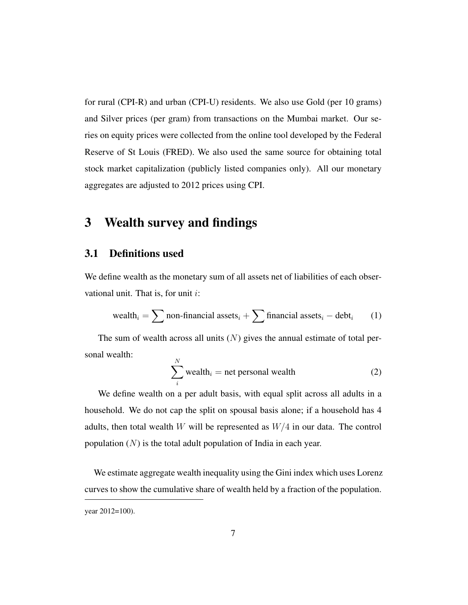for rural (CPI-R) and urban (CPI-U) residents. We also use Gold (per 10 grams) and Silver prices (per gram) from transactions on the Mumbai market. Our series on equity prices were collected from the online tool developed by the Federal Reserve of St Louis (FRED). We also used the same source for obtaining total stock market capitalization (publicly listed companies only). All our monetary aggregates are adjusted to 2012 prices using CPI.

# 3 Wealth survey and findings

#### 3.1 Definitions used

We define wealth as the monetary sum of all assets net of liabilities of each observational unit. That is, for unit  $i$ :

$$
\\ \text{wealth}_{i} = \sum \text{non-financial assets}_{i} + \sum \text{financial assets}_{i} - \text{debt}_{i} \tag{1}
$$

The sum of wealth across all units  $(N)$  gives the annual estimate of total personal wealth:  $\overline{N}$ 

$$
\sum_{i}^{N} \text{wealth}_{i} = \text{net personal wealth}
$$
 (2)

We define wealth on a per adult basis, with equal split across all adults in a household. We do not cap the split on spousal basis alone; if a household has 4 adults, then total wealth W will be represented as  $W/4$  in our data. The control population  $(N)$  is the total adult population of India in each year.

We estimate aggregate wealth inequality using the Gini index which uses Lorenz curves to show the cumulative share of wealth held by a fraction of the population.

year 2012=100).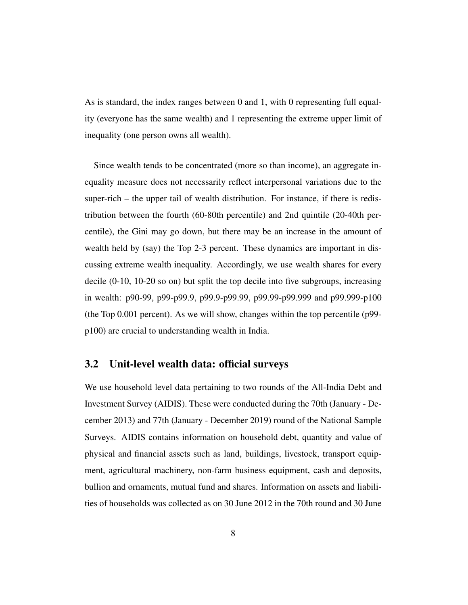As is standard, the index ranges between 0 and 1, with 0 representing full equality (everyone has the same wealth) and 1 representing the extreme upper limit of inequality (one person owns all wealth).

Since wealth tends to be concentrated (more so than income), an aggregate inequality measure does not necessarily reflect interpersonal variations due to the super-rich – the upper tail of wealth distribution. For instance, if there is redistribution between the fourth (60-80th percentile) and 2nd quintile (20-40th percentile), the Gini may go down, but there may be an increase in the amount of wealth held by (say) the Top 2-3 percent. These dynamics are important in discussing extreme wealth inequality. Accordingly, we use wealth shares for every decile (0-10, 10-20 so on) but split the top decile into five subgroups, increasing in wealth: p90-99, p99-p99.9, p99.9-p99.99, p99.99-p99.999 and p99.999-p100 (the Top 0.001 percent). As we will show, changes within the top percentile (p99 p100) are crucial to understanding wealth in India.

#### 3.2 Unit-level wealth data: official surveys

We use household level data pertaining to two rounds of the All-India Debt and Investment Survey (AIDIS). These were conducted during the 70th (January - December 2013) and 77th (January - December 2019) round of the National Sample Surveys. AIDIS contains information on household debt, quantity and value of physical and financial assets such as land, buildings, livestock, transport equipment, agricultural machinery, non-farm business equipment, cash and deposits, bullion and ornaments, mutual fund and shares. Information on assets and liabilities of households was collected as on 30 June 2012 in the 70th round and 30 June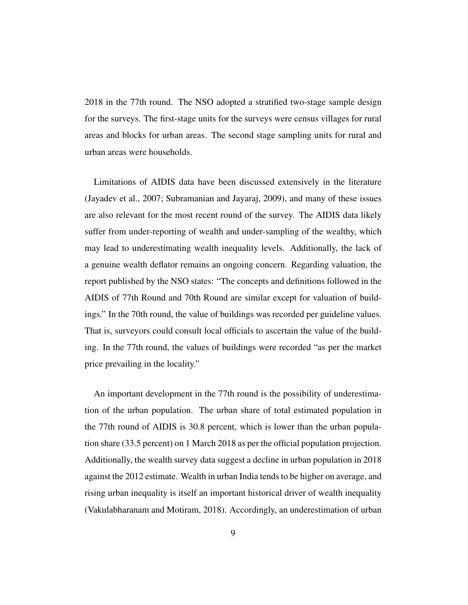2018 in the 77th round. The NSO adopted a stratified two-stage sample design for the surveys. The first-stage units for the surveys were census villages for rural areas and blocks for urban areas. The second stage sampling units for rural and urban areas were households.

Limitations of AIDIS data have been discussed extensively in the literature (Jayadev et al., 2007; Subramanian and Jayaraj, 2009), and many of these issues are also relevant for the most recent round of the survey. The AIDIS data likely suffer from under-reporting of wealth and under-sampling of the wealthy, which may lead to underestimating wealth inequality levels. Additionally, the lack of a genuine wealth deflator remains an ongoing concern. Regarding valuation, the report published by the NSO states: "The concepts and definitions followed in the AIDIS of 77th Round and 70th Round are similar except for valuation of buildings." In the 70th round, the value of buildings was recorded per guideline values. That is, surveyors could consult local officials to ascertain the value of the building. In the 77th round, the values of buildings were recorded "as per the market price prevailing in the locality."

An important development in the 77th round is the possibility of underestimation of the urban population. The urban share of total estimated population in the 77th round of AIDIS is 30.8 percent, which is lower than the urban population share (33.5 percent) on 1 March 2018 as per the official population projection. Additionally, the wealth survey data suggest a decline in urban population in 2018 against the 2012 estimate. Wealth in urban India tends to be higher on average, and rising urban inequality is itself an important historical driver of wealth inequality (Vakulabharanam and Motiram, 2018). Accordingly, an underestimation of urban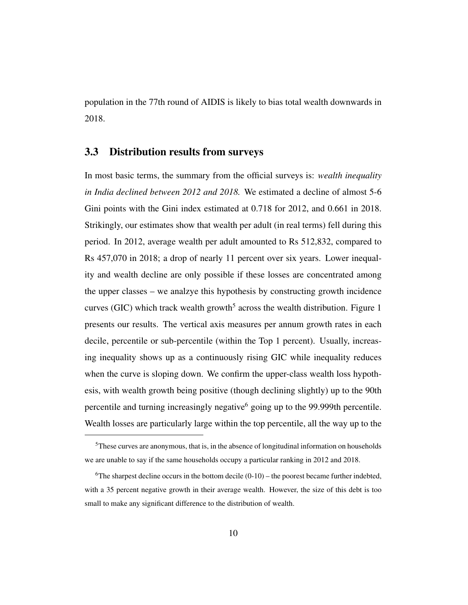population in the 77th round of AIDIS is likely to bias total wealth downwards in 2018.

#### 3.3 Distribution results from surveys

In most basic terms, the summary from the official surveys is: *wealth inequality in India declined between 2012 and 2018.* We estimated a decline of almost 5-6 Gini points with the Gini index estimated at 0.718 for 2012, and 0.661 in 2018. Strikingly, our estimates show that wealth per adult (in real terms) fell during this period. In 2012, average wealth per adult amounted to Rs 512,832, compared to Rs 457,070 in 2018; a drop of nearly 11 percent over six years. Lower inequality and wealth decline are only possible if these losses are concentrated among the upper classes – we analzye this hypothesis by constructing growth incidence curves (GIC) which track wealth growth<sup>5</sup> across the wealth distribution. Figure 1 presents our results. The vertical axis measures per annum growth rates in each decile, percentile or sub-percentile (within the Top 1 percent). Usually, increasing inequality shows up as a continuously rising GIC while inequality reduces when the curve is sloping down. We confirm the upper-class wealth loss hypothesis, with wealth growth being positive (though declining slightly) up to the 90th percentile and turning increasingly negative<sup>6</sup> going up to the 99.999th percentile. Wealth losses are particularly large within the top percentile, all the way up to the

 $<sup>5</sup>$ These curves are anonymous, that is, in the absence of longitudinal information on households</sup> we are unable to say if the same households occupy a particular ranking in 2012 and 2018.

 $6$ The sharpest decline occurs in the bottom decile  $(0-10)$  – the poorest became further indebted, with a 35 percent negative growth in their average wealth. However, the size of this debt is too small to make any significant difference to the distribution of wealth.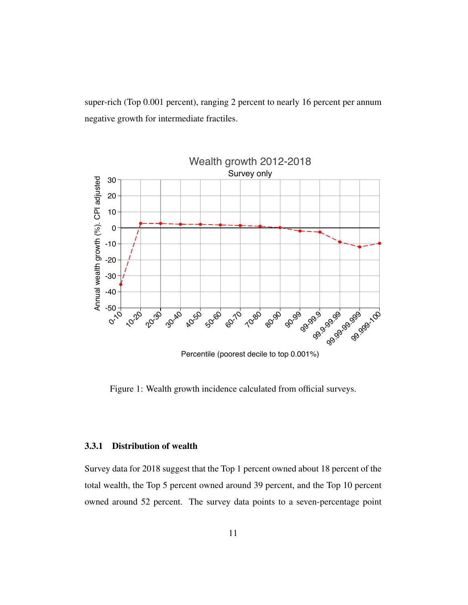super-rich (Top 0.001 percent), ranging 2 percent to nearly 16 percent per annum negative growth for intermediate fractiles.



Percentile (poorest decile to top 0.001%)

Figure 1: Wealth growth incidence calculated from official surveys.

#### 3.3.1 Distribution of wealth

Survey data for 2018 suggest that the Top 1 percent owned about 18 percent of the total wealth, the Top 5 percent owned around 39 percent, and the Top 10 percent owned around 52 percent. The survey data points to a seven-percentage point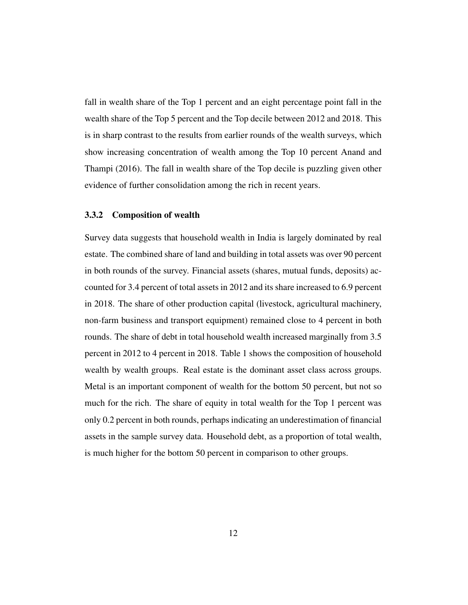fall in wealth share of the Top 1 percent and an eight percentage point fall in the wealth share of the Top 5 percent and the Top decile between 2012 and 2018. This is in sharp contrast to the results from earlier rounds of the wealth surveys, which show increasing concentration of wealth among the Top 10 percent Anand and Thampi (2016). The fall in wealth share of the Top decile is puzzling given other evidence of further consolidation among the rich in recent years.

#### 3.3.2 Composition of wealth

Survey data suggests that household wealth in India is largely dominated by real estate. The combined share of land and building in total assets was over 90 percent in both rounds of the survey. Financial assets (shares, mutual funds, deposits) accounted for 3.4 percent of total assets in 2012 and its share increased to 6.9 percent in 2018. The share of other production capital (livestock, agricultural machinery, non-farm business and transport equipment) remained close to 4 percent in both rounds. The share of debt in total household wealth increased marginally from 3.5 percent in 2012 to 4 percent in 2018. Table 1 shows the composition of household wealth by wealth groups. Real estate is the dominant asset class across groups. Metal is an important component of wealth for the bottom 50 percent, but not so much for the rich. The share of equity in total wealth for the Top 1 percent was only 0.2 percent in both rounds, perhaps indicating an underestimation of financial assets in the sample survey data. Household debt, as a proportion of total wealth, is much higher for the bottom 50 percent in comparison to other groups.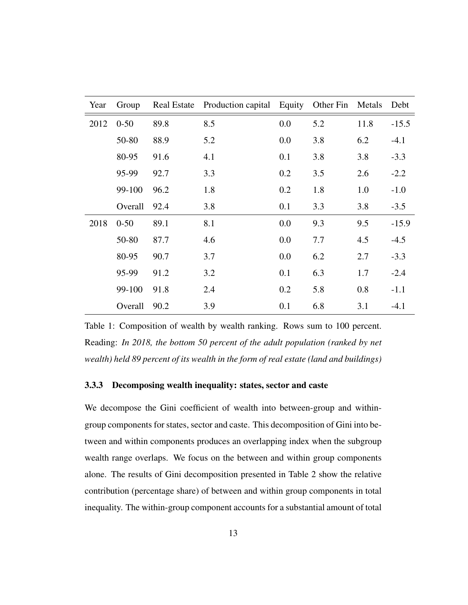| Year | Group    |      | Real Estate Production capital Equity |     | Other Fin | Metals | Debt    |
|------|----------|------|---------------------------------------|-----|-----------|--------|---------|
| 2012 | $0 - 50$ | 89.8 | 8.5                                   | 0.0 | 5.2       | 11.8   | $-15.5$ |
|      | 50-80    | 88.9 | 5.2                                   | 0.0 | 3.8       | 6.2    | $-4.1$  |
|      | 80-95    | 91.6 | 4.1                                   | 0.1 | 3.8       | 3.8    | $-3.3$  |
|      | 95-99    | 92.7 | 3.3                                   | 0.2 | 3.5       | 2.6    | $-2.2$  |
|      | 99-100   | 96.2 | 1.8                                   | 0.2 | 1.8       | 1.0    | $-1.0$  |
|      | Overall  | 92.4 | 3.8                                   | 0.1 | 3.3       | 3.8    | $-3.5$  |
| 2018 | $0 - 50$ | 89.1 | 8.1                                   | 0.0 | 9.3       | 9.5    | $-15.9$ |
|      | 50-80    | 87.7 | 4.6                                   | 0.0 | 7.7       | 4.5    | $-4.5$  |
|      | 80-95    | 90.7 | 3.7                                   | 0.0 | 6.2       | 2.7    | $-3.3$  |
|      | 95-99    | 91.2 | 3.2                                   | 0.1 | 6.3       | 1.7    | $-2.4$  |
|      | 99-100   | 91.8 | 2.4                                   | 0.2 | 5.8       | 0.8    | $-1.1$  |
|      | Overall  | 90.2 | 3.9                                   | 0.1 | 6.8       | 3.1    | $-4.1$  |

Table 1: Composition of wealth by wealth ranking. Rows sum to 100 percent. Reading: *In 2018, the bottom 50 percent of the adult population (ranked by net wealth) held 89 percent of its wealth in the form of real estate (land and buildings)*

#### 3.3.3 Decomposing wealth inequality: states, sector and caste

We decompose the Gini coefficient of wealth into between-group and withingroup components for states, sector and caste. This decomposition of Gini into between and within components produces an overlapping index when the subgroup wealth range overlaps. We focus on the between and within group components alone. The results of Gini decomposition presented in Table 2 show the relative contribution (percentage share) of between and within group components in total inequality. The within-group component accounts for a substantial amount of total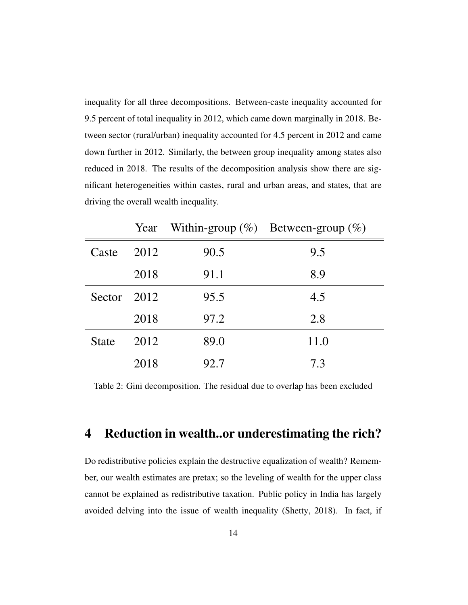inequality for all three decompositions. Between-caste inequality accounted for 9.5 percent of total inequality in 2012, which came down marginally in 2018. Between sector (rural/urban) inequality accounted for 4.5 percent in 2012 and came down further in 2012. Similarly, the between group inequality among states also reduced in 2018. The results of the decomposition analysis show there are significant heterogeneities within castes, rural and urban areas, and states, that are driving the overall wealth inequality.

|              |      |      | Year Within-group $(\%)$ Between-group $(\%)$ |
|--------------|------|------|-----------------------------------------------|
| Caste        | 2012 | 90.5 | 9.5                                           |
|              | 2018 | 91.1 | 8.9                                           |
| Sector 2012  |      | 95.5 | 4.5                                           |
|              | 2018 | 97.2 | 2.8                                           |
| <b>State</b> | 2012 | 89.0 | 11.0                                          |
|              | 2018 | 92.7 | 7.3                                           |

Table 2: Gini decomposition. The residual due to overlap has been excluded

# 4 Reduction in wealth..or underestimating the rich?

Do redistributive policies explain the destructive equalization of wealth? Remember, our wealth estimates are pretax; so the leveling of wealth for the upper class cannot be explained as redistributive taxation. Public policy in India has largely avoided delving into the issue of wealth inequality (Shetty, 2018). In fact, if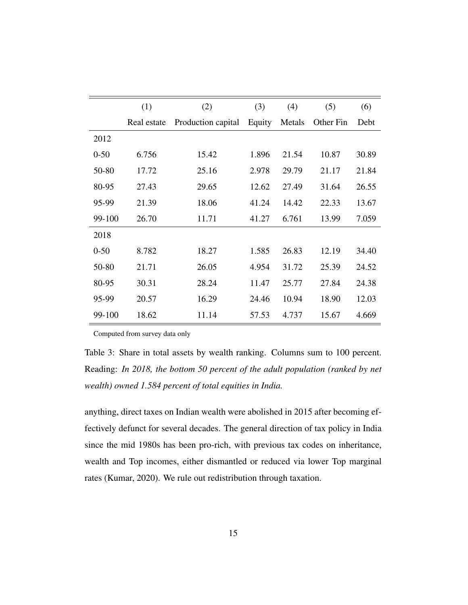|          | (1)         | (2)                | (3)    | (4)    | (5)       | (6)   |
|----------|-------------|--------------------|--------|--------|-----------|-------|
|          | Real estate | Production capital | Equity | Metals | Other Fin | Debt  |
| 2012     |             |                    |        |        |           |       |
| $0 - 50$ | 6.756       | 15.42              | 1.896  | 21.54  | 10.87     | 30.89 |
| 50-80    | 17.72       | 25.16              | 2.978  | 29.79  | 21.17     | 21.84 |
| 80-95    | 27.43       | 29.65              | 12.62  | 27.49  | 31.64     | 26.55 |
| 95-99    | 21.39       | 18.06              | 41.24  | 14.42  | 22.33     | 13.67 |
| 99-100   | 26.70       | 11.71              | 41.27  | 6.761  | 13.99     | 7.059 |
| 2018     |             |                    |        |        |           |       |
| $0 - 50$ | 8.782       | 18.27              | 1.585  | 26.83  | 12.19     | 34.40 |
| 50-80    | 21.71       | 26.05              | 4.954  | 31.72  | 25.39     | 24.52 |
| 80-95    | 30.31       | 28.24              | 11.47  | 25.77  | 27.84     | 24.38 |
| 95-99    | 20.57       | 16.29              | 24.46  | 10.94  | 18.90     | 12.03 |
| 99-100   | 18.62       | 11.14              | 57.53  | 4.737  | 15.67     | 4.669 |

Computed from survey data only

Table 3: Share in total assets by wealth ranking. Columns sum to 100 percent. Reading: *In 2018, the bottom 50 percent of the adult population (ranked by net wealth) owned 1.584 percent of total equities in India.*

anything, direct taxes on Indian wealth were abolished in 2015 after becoming effectively defunct for several decades. The general direction of tax policy in India since the mid 1980s has been pro-rich, with previous tax codes on inheritance, wealth and Top incomes, either dismantled or reduced via lower Top marginal rates (Kumar, 2020). We rule out redistribution through taxation.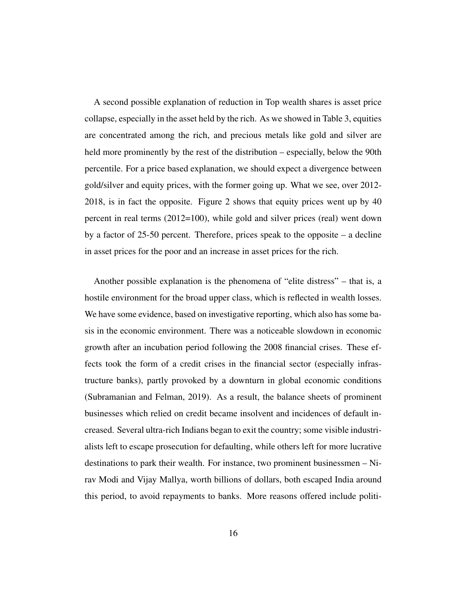A second possible explanation of reduction in Top wealth shares is asset price collapse, especially in the asset held by the rich. As we showed in Table 3, equities are concentrated among the rich, and precious metals like gold and silver are held more prominently by the rest of the distribution – especially, below the 90th percentile. For a price based explanation, we should expect a divergence between gold/silver and equity prices, with the former going up. What we see, over 2012- 2018, is in fact the opposite. Figure 2 shows that equity prices went up by 40 percent in real terms (2012=100), while gold and silver prices (real) went down by a factor of 25-50 percent. Therefore, prices speak to the opposite – a decline in asset prices for the poor and an increase in asset prices for the rich.

Another possible explanation is the phenomena of "elite distress" – that is, a hostile environment for the broad upper class, which is reflected in wealth losses. We have some evidence, based on investigative reporting, which also has some basis in the economic environment. There was a noticeable slowdown in economic growth after an incubation period following the 2008 financial crises. These effects took the form of a credit crises in the financial sector (especially infrastructure banks), partly provoked by a downturn in global economic conditions (Subramanian and Felman, 2019). As a result, the balance sheets of prominent businesses which relied on credit became insolvent and incidences of default increased. Several ultra-rich Indians began to exit the country; some visible industrialists left to escape prosecution for defaulting, while others left for more lucrative destinations to park their wealth. For instance, two prominent businessmen – Nirav Modi and Vijay Mallya, worth billions of dollars, both escaped India around this period, to avoid repayments to banks. More reasons offered include politi-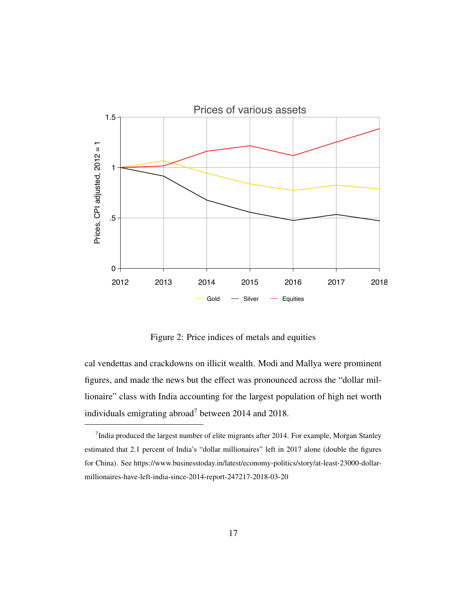

Figure 2: Price indices of metals and equities

cal vendettas and crackdowns on illicit wealth. Modi and Mallya were prominent figures, and made the news but the effect was pronounced across the "dollar millionaire" class with India accounting for the largest population of high net worth individuals emigrating abroad<sup>7</sup> between 2014 and 2018.

<sup>&</sup>lt;sup>7</sup>India produced the largest number of elite migrants after 2014. For example, Morgan Stanley estimated that 2.1 percent of India's "dollar millionaires" left in 2017 alone (double the figures for China). See https://www.businesstoday.in/latest/economy-politics/story/at-least-23000-dollarmillionaires-have-left-india-since-2014-report-247217-2018-03-20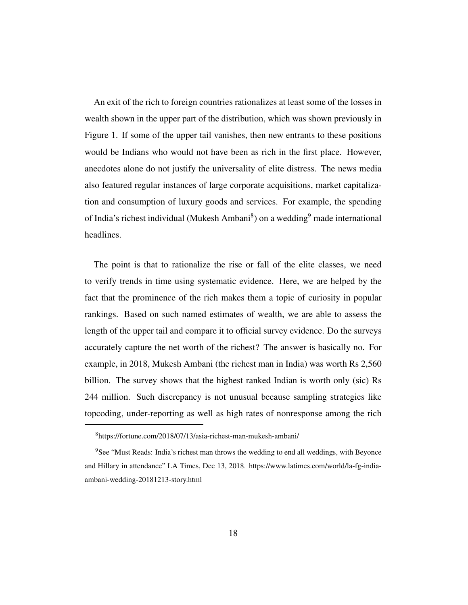An exit of the rich to foreign countries rationalizes at least some of the losses in wealth shown in the upper part of the distribution, which was shown previously in Figure 1. If some of the upper tail vanishes, then new entrants to these positions would be Indians who would not have been as rich in the first place. However, anecdotes alone do not justify the universality of elite distress. The news media also featured regular instances of large corporate acquisitions, market capitalization and consumption of luxury goods and services. For example, the spending of India's richest individual (Mukesh Ambani<sup>8</sup>) on a wedding<sup>9</sup> made international headlines.

The point is that to rationalize the rise or fall of the elite classes, we need to verify trends in time using systematic evidence. Here, we are helped by the fact that the prominence of the rich makes them a topic of curiosity in popular rankings. Based on such named estimates of wealth, we are able to assess the length of the upper tail and compare it to official survey evidence. Do the surveys accurately capture the net worth of the richest? The answer is basically no. For example, in 2018, Mukesh Ambani (the richest man in India) was worth Rs 2,560 billion. The survey shows that the highest ranked Indian is worth only (sic) Rs 244 million. Such discrepancy is not unusual because sampling strategies like topcoding, under-reporting as well as high rates of nonresponse among the rich

<sup>8</sup>https://fortune.com/2018/07/13/asia-richest-man-mukesh-ambani/

<sup>&</sup>lt;sup>9</sup>See "Must Reads: India's richest man throws the wedding to end all weddings, with Beyonce and Hillary in attendance" LA Times, Dec 13, 2018. https://www.latimes.com/world/la-fg-indiaambani-wedding-20181213-story.html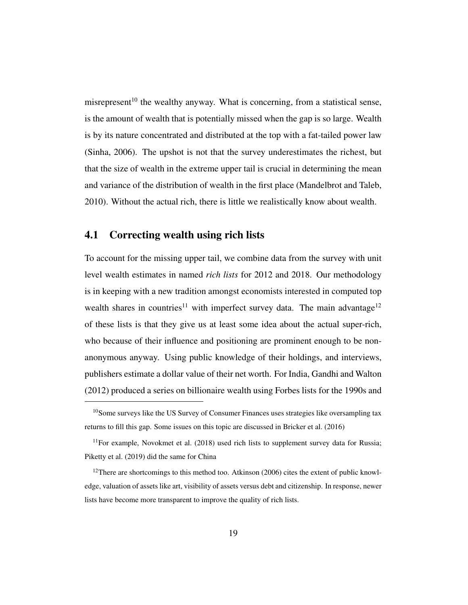misrepresent<sup>10</sup> the wealthy anyway. What is concerning, from a statistical sense, is the amount of wealth that is potentially missed when the gap is so large. Wealth is by its nature concentrated and distributed at the top with a fat-tailed power law (Sinha, 2006). The upshot is not that the survey underestimates the richest, but that the size of wealth in the extreme upper tail is crucial in determining the mean and variance of the distribution of wealth in the first place (Mandelbrot and Taleb, 2010). Without the actual rich, there is little we realistically know about wealth.

#### 4.1 Correcting wealth using rich lists

To account for the missing upper tail, we combine data from the survey with unit level wealth estimates in named *rich lists* for 2012 and 2018. Our methodology is in keeping with a new tradition amongst economists interested in computed top wealth shares in countries<sup>11</sup> with imperfect survey data. The main advantage<sup>12</sup> of these lists is that they give us at least some idea about the actual super-rich, who because of their influence and positioning are prominent enough to be nonanonymous anyway. Using public knowledge of their holdings, and interviews, publishers estimate a dollar value of their net worth. For India, Gandhi and Walton (2012) produced a series on billionaire wealth using Forbes lists for the 1990s and

 $10$ Some surveys like the US Survey of Consumer Finances uses strategies like oversampling tax returns to fill this gap. Some issues on this topic are discussed in Bricker et al. (2016)

 $11$  For example, Novokmet et al. (2018) used rich lists to supplement survey data for Russia; Piketty et al. (2019) did the same for China

<sup>&</sup>lt;sup>12</sup>There are shortcomings to this method too. Atkinson (2006) cites the extent of public knowledge, valuation of assets like art, visibility of assets versus debt and citizenship. In response, newer lists have become more transparent to improve the quality of rich lists.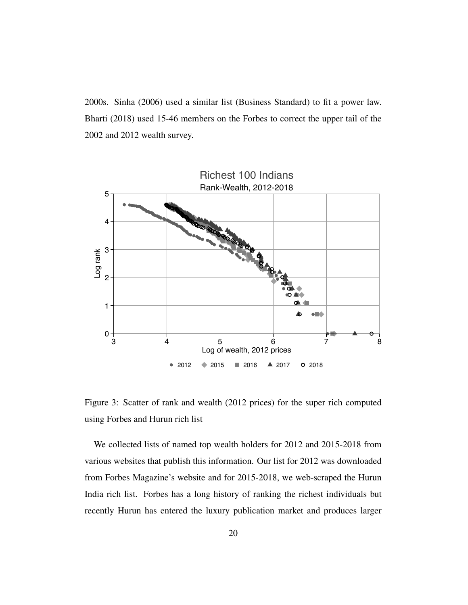2000s. Sinha (2006) used a similar list (Business Standard) to fit a power law. Bharti (2018) used 15-46 members on the Forbes to correct the upper tail of the 2002 and 2012 wealth survey.



Figure 3: Scatter of rank and wealth (2012 prices) for the super rich computed using Forbes and Hurun rich list

We collected lists of named top wealth holders for 2012 and 2015-2018 from various websites that publish this information. Our list for 2012 was downloaded from Forbes Magazine's website and for 2015-2018, we web-scraped the Hurun India rich list. Forbes has a long history of ranking the richest individuals but recently Hurun has entered the luxury publication market and produces larger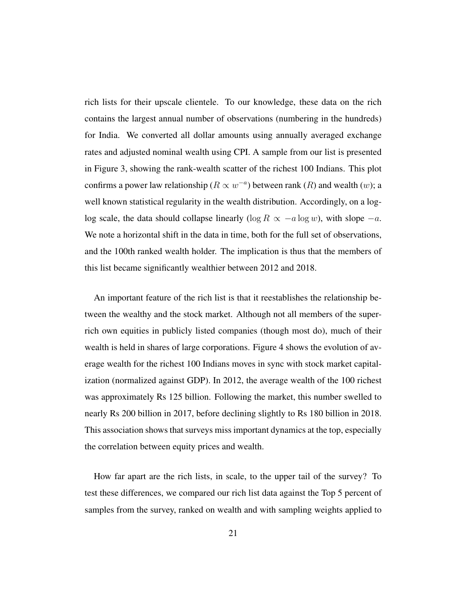rich lists for their upscale clientele. To our knowledge, these data on the rich contains the largest annual number of observations (numbering in the hundreds) for India. We converted all dollar amounts using annually averaged exchange rates and adjusted nominal wealth using CPI. A sample from our list is presented in Figure 3, showing the rank-wealth scatter of the richest 100 Indians. This plot confirms a power law relationship ( $R \propto w^{-a}$ ) between rank ( $R$ ) and wealth (w); a well known statistical regularity in the wealth distribution. Accordingly, on a loglog scale, the data should collapse linearly (log  $R \propto -a \log w$ ), with slope  $-a$ . We note a horizontal shift in the data in time, both for the full set of observations, and the 100th ranked wealth holder. The implication is thus that the members of this list became significantly wealthier between 2012 and 2018.

An important feature of the rich list is that it reestablishes the relationship between the wealthy and the stock market. Although not all members of the superrich own equities in publicly listed companies (though most do), much of their wealth is held in shares of large corporations. Figure 4 shows the evolution of average wealth for the richest 100 Indians moves in sync with stock market capitalization (normalized against GDP). In 2012, the average wealth of the 100 richest was approximately Rs 125 billion. Following the market, this number swelled to nearly Rs 200 billion in 2017, before declining slightly to Rs 180 billion in 2018. This association shows that surveys miss important dynamics at the top, especially the correlation between equity prices and wealth.

How far apart are the rich lists, in scale, to the upper tail of the survey? To test these differences, we compared our rich list data against the Top 5 percent of samples from the survey, ranked on wealth and with sampling weights applied to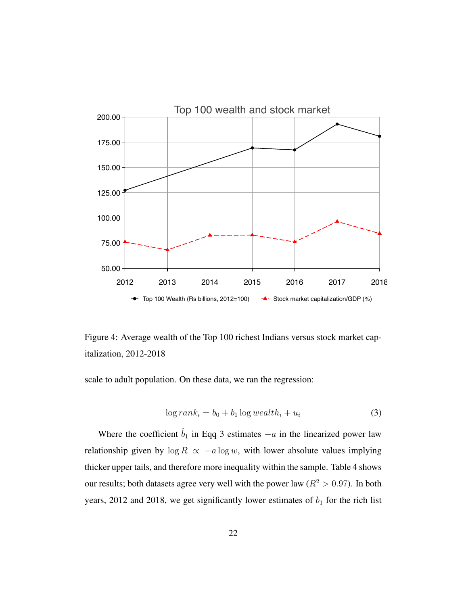

Figure 4: Average wealth of the Top 100 richest Indians versus stock market capitalization, 2012-2018

scale to adult population. On these data, we ran the regression:

$$
\log rank_i = b_0 + b_1 \log wealth_i + u_i \tag{3}
$$

Where the coefficient  $\hat{b}_1$  in Eqq 3 estimates  $-a$  in the linearized power law relationship given by  $\log R \propto -a \log w$ , with lower absolute values implying thicker upper tails, and therefore more inequality within the sample. Table 4 shows our results; both datasets agree very well with the power law ( $R^2 > 0.97$ ). In both years, 2012 and 2018, we get significantly lower estimates of  $b_1$  for the rich list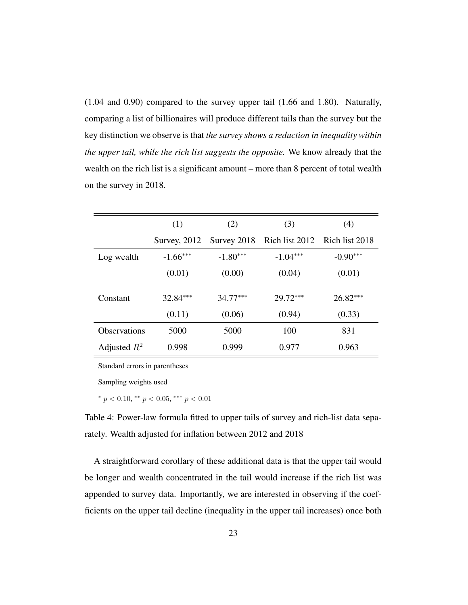(1.04 and 0.90) compared to the survey upper tail (1.66 and 1.80). Naturally, comparing a list of billionaires will produce different tails than the survey but the key distinction we observe is that *the survey shows a reduction in inequality within the upper tail, while the rich list suggests the opposite.* We know already that the wealth on the rich list is a significant amount – more than 8 percent of total wealth on the survey in 2018.

|                     | (1)          | (2)         | (3)            | (4)            |
|---------------------|--------------|-------------|----------------|----------------|
|                     | Survey, 2012 | Survey 2018 | Rich list 2012 | Rich list 2018 |
| Log wealth          | $-1.66***$   | $-1.80***$  | $-1.04***$     | $-0.90***$     |
|                     | (0.01)       | (0.00)      | (0.04)         | (0.01)         |
| Constant            | $32.84***$   | $34.77***$  | $29.72***$     | $26.82***$     |
|                     | (0.11)       | (0.06)      | (0.94)         | (0.33)         |
| <b>Observations</b> | 5000         | 5000        | 100            | 831            |
| Adjusted $R^2$      | 0.998        | 0.999       | 0.977          | 0.963          |

Standard errors in parentheses

Sampling weights used

\*  $p < 0.10$ , \*\*  $p < 0.05$ , \*\*\*  $p < 0.01$ 

Table 4: Power-law formula fitted to upper tails of survey and rich-list data separately. Wealth adjusted for inflation between 2012 and 2018

A straightforward corollary of these additional data is that the upper tail would be longer and wealth concentrated in the tail would increase if the rich list was appended to survey data. Importantly, we are interested in observing if the coefficients on the upper tail decline (inequality in the upper tail increases) once both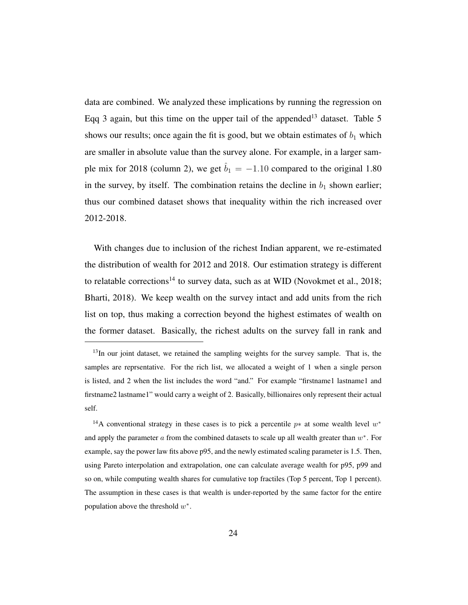data are combined. We analyzed these implications by running the regression on Eqq 3 again, but this time on the upper tail of the appended<sup>13</sup> dataset. Table 5 shows our results; once again the fit is good, but we obtain estimates of  $b_1$  which are smaller in absolute value than the survey alone. For example, in a larger sample mix for 2018 (column 2), we get  $\hat{b}_1 = -1.10$  compared to the original 1.80 in the survey, by itself. The combination retains the decline in  $b_1$  shown earlier; thus our combined dataset shows that inequality within the rich increased over 2012-2018.

With changes due to inclusion of the richest Indian apparent, we re-estimated the distribution of wealth for 2012 and 2018. Our estimation strategy is different to relatable corrections<sup>14</sup> to survey data, such as at WID (Novokmet et al., 2018; Bharti, 2018). We keep wealth on the survey intact and add units from the rich list on top, thus making a correction beyond the highest estimates of wealth on the former dataset. Basically, the richest adults on the survey fall in rank and

<sup>&</sup>lt;sup>13</sup>In our joint dataset, we retained the sampling weights for the survey sample. That is, the samples are reprsentative. For the rich list, we allocated a weight of 1 when a single person is listed, and 2 when the list includes the word "and." For example "firstname1 lastname1 and firstname2 lastname1" would carry a weight of 2. Basically, billionaires only represent their actual self.

<sup>&</sup>lt;sup>14</sup>A conventional strategy in these cases is to pick a percentile  $p*$  at some wealth level  $w*$ and apply the parameter  $a$  from the combined datasets to scale up all wealth greater than  $w^*$ . For example, say the power law fits above p95, and the newly estimated scaling parameter is 1.5. Then, using Pareto interpolation and extrapolation, one can calculate average wealth for p95, p99 and so on, while computing wealth shares for cumulative top fractiles (Top 5 percent, Top 1 percent). The assumption in these cases is that wealth is under-reported by the same factor for the entire population above the threshold  $w^*$ .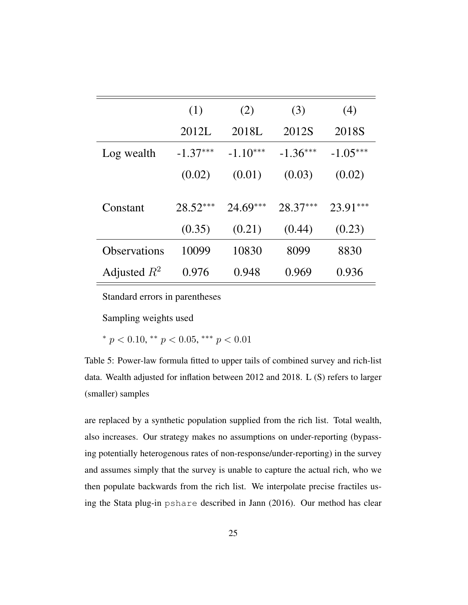|                     | (1)        | (2)        | (3)        | (4)        |
|---------------------|------------|------------|------------|------------|
|                     | 2012L      | 2018L      | 2012S      | 2018S      |
| Log wealth          | $-1.37***$ | $-1.10***$ | $-1.36***$ | $-1.05***$ |
|                     | (0.02)     | (0.01)     | (0.03)     | (0.02)     |
|                     |            |            |            |            |
| Constant            | $28.52***$ | $24.69***$ | $28.37***$ | $23.91***$ |
|                     | (0.35)     | (0.21)     | (0.44)     | (0.23)     |
| <b>Observations</b> | 10099      | 10830      | 8099       | 8830       |
| Adjusted $R^2$      | 0.976      | 0.948      | 0.969      | 0.936      |

Standard errors in parentheses

Sampling weights used

\*  $p < 0.10$ , \*\*  $p < 0.05$ , \*\*\*  $p < 0.01$ 

Table 5: Power-law formula fitted to upper tails of combined survey and rich-list data. Wealth adjusted for inflation between 2012 and 2018. L (S) refers to larger (smaller) samples

are replaced by a synthetic population supplied from the rich list. Total wealth, also increases. Our strategy makes no assumptions on under-reporting (bypassing potentially heterogenous rates of non-response/under-reporting) in the survey and assumes simply that the survey is unable to capture the actual rich, who we then populate backwards from the rich list. We interpolate precise fractiles using the Stata plug-in pshare described in Jann (2016). Our method has clear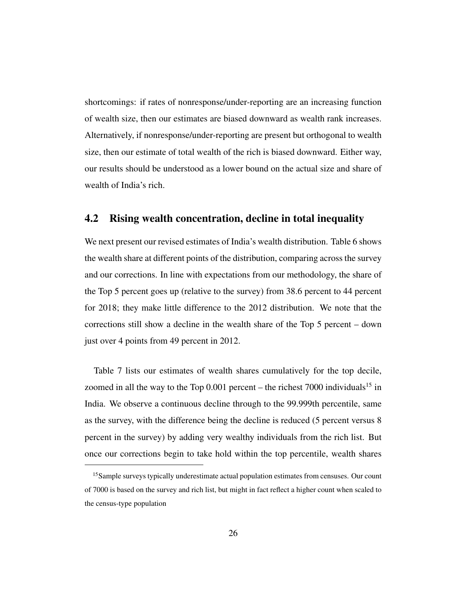shortcomings: if rates of nonresponse/under-reporting are an increasing function of wealth size, then our estimates are biased downward as wealth rank increases. Alternatively, if nonresponse/under-reporting are present but orthogonal to wealth size, then our estimate of total wealth of the rich is biased downward. Either way, our results should be understood as a lower bound on the actual size and share of wealth of India's rich.

#### 4.2 Rising wealth concentration, decline in total inequality

We next present our revised estimates of India's wealth distribution. Table 6 shows the wealth share at different points of the distribution, comparing across the survey and our corrections. In line with expectations from our methodology, the share of the Top 5 percent goes up (relative to the survey) from 38.6 percent to 44 percent for 2018; they make little difference to the 2012 distribution. We note that the corrections still show a decline in the wealth share of the Top 5 percent – down just over 4 points from 49 percent in 2012.

Table 7 lists our estimates of wealth shares cumulatively for the top decile, zoomed in all the way to the Top  $0.001$  percent – the richest 7000 individuals<sup>15</sup> in India. We observe a continuous decline through to the 99.999th percentile, same as the survey, with the difference being the decline is reduced (5 percent versus 8 percent in the survey) by adding very wealthy individuals from the rich list. But once our corrections begin to take hold within the top percentile, wealth shares

<sup>&</sup>lt;sup>15</sup>Sample surveys typically underestimate actual population estimates from censuses. Our count of 7000 is based on the survey and rich list, but might in fact reflect a higher count when scaled to the census-type population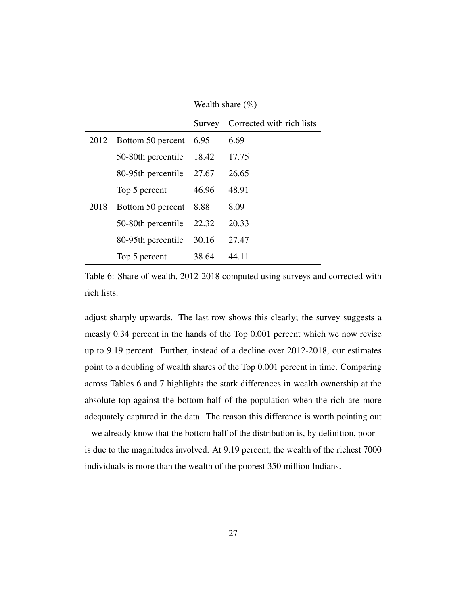|      |                    | Wealth share $(\% )$ |                           |  |
|------|--------------------|----------------------|---------------------------|--|
|      |                    | Survey               | Corrected with rich lists |  |
| 2012 | Bottom 50 percent  | 6.95                 | 6.69                      |  |
|      | 50-80th percentile | 18.42                | 17.75                     |  |
|      | 80-95th percentile | 27.67                | 26.65                     |  |
|      | Top 5 percent      | 46.96                | 48.91                     |  |
| 2018 | Bottom 50 percent  | 8.88                 | 8.09                      |  |
|      | 50-80th percentile | 22.32                | 20.33                     |  |
|      | 80-95th percentile | 30.16                | 27.47                     |  |
|      | Top 5 percent      | 38.64                | 44.11                     |  |

Table 6: Share of wealth, 2012-2018 computed using surveys and corrected with rich lists.

adjust sharply upwards. The last row shows this clearly; the survey suggests a measly 0.34 percent in the hands of the Top 0.001 percent which we now revise up to 9.19 percent. Further, instead of a decline over 2012-2018, our estimates point to a doubling of wealth shares of the Top 0.001 percent in time. Comparing across Tables 6 and 7 highlights the stark differences in wealth ownership at the absolute top against the bottom half of the population when the rich are more adequately captured in the data. The reason this difference is worth pointing out – we already know that the bottom half of the distribution is, by definition, poor – is due to the magnitudes involved. At 9.19 percent, the wealth of the richest 7000 individuals is more than the wealth of the poorest 350 million Indians.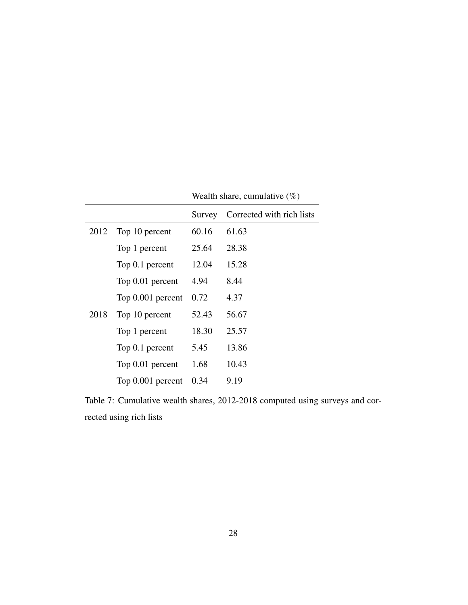|      |                   | Survey | Corrected with rich lists |
|------|-------------------|--------|---------------------------|
| 2012 | Top 10 percent    | 60.16  | 61.63                     |
|      | Top 1 percent     | 25.64  | 28.38                     |
|      | Top 0.1 percent   | 12.04  | 15.28                     |
|      | Top 0.01 percent  | 4.94   | 8.44                      |
|      | Top 0.001 percent | 0.72   | 4.37                      |
| 2018 | Top 10 percent    | 52.43  | 56.67                     |
|      | Top 1 percent     | 18.30  | 25.57                     |
|      | Top 0.1 percent   | 5.45   | 13.86                     |
|      | Top 0.01 percent  | 1.68   | 10.43                     |
|      | Top 0.001 percent | 0.34   | 9.19                      |

Wealth share, cumulative  $(\%)$ 

Table 7: Cumulative wealth shares, 2012-2018 computed using surveys and corrected using rich lists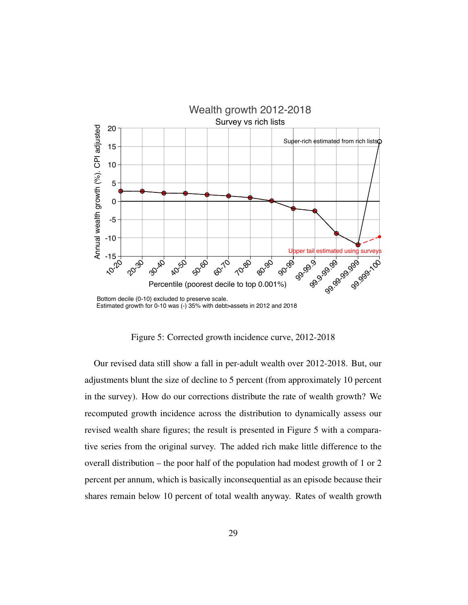

Figure 5: Corrected growth incidence curve, 2012-2018

Our revised data still show a fall in per-adult wealth over 2012-2018. But, our adjustments blunt the size of decline to 5 percent (from approximately 10 percent in the survey). How do our corrections distribute the rate of wealth growth? We recomputed growth incidence across the distribution to dynamically assess our revised wealth share figures; the result is presented in Figure 5 with a comparative series from the original survey. The added rich make little difference to the overall distribution – the poor half of the population had modest growth of 1 or 2 percent per annum, which is basically inconsequential as an episode because their shares remain below 10 percent of total wealth anyway. Rates of wealth growth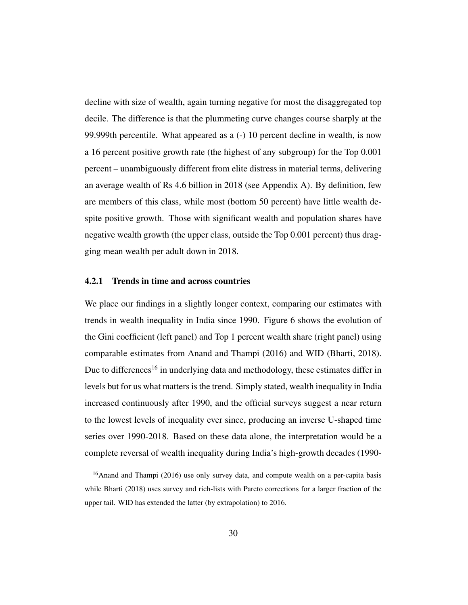decline with size of wealth, again turning negative for most the disaggregated top decile. The difference is that the plummeting curve changes course sharply at the 99.999th percentile. What appeared as a (-) 10 percent decline in wealth, is now a 16 percent positive growth rate (the highest of any subgroup) for the Top 0.001 percent – unambiguously different from elite distress in material terms, delivering an average wealth of Rs 4.6 billion in 2018 (see Appendix A). By definition, few are members of this class, while most (bottom 50 percent) have little wealth despite positive growth. Those with significant wealth and population shares have negative wealth growth (the upper class, outside the Top 0.001 percent) thus dragging mean wealth per adult down in 2018.

#### 4.2.1 Trends in time and across countries

We place our findings in a slightly longer context, comparing our estimates with trends in wealth inequality in India since 1990. Figure 6 shows the evolution of the Gini coefficient (left panel) and Top 1 percent wealth share (right panel) using comparable estimates from Anand and Thampi (2016) and WID (Bharti, 2018). Due to differences<sup>16</sup> in underlying data and methodology, these estimates differ in levels but for us what matters is the trend. Simply stated, wealth inequality in India increased continuously after 1990, and the official surveys suggest a near return to the lowest levels of inequality ever since, producing an inverse U-shaped time series over 1990-2018. Based on these data alone, the interpretation would be a complete reversal of wealth inequality during India's high-growth decades (1990-

<sup>&</sup>lt;sup>16</sup>Anand and Thampi (2016) use only survey data, and compute wealth on a per-capita basis while Bharti (2018) uses survey and rich-lists with Pareto corrections for a larger fraction of the upper tail. WID has extended the latter (by extrapolation) to 2016.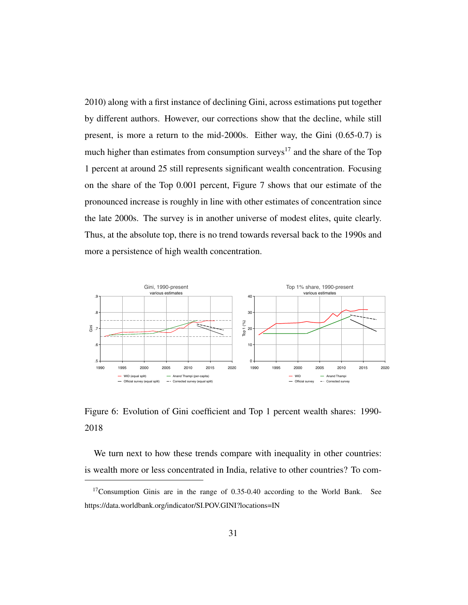2010) along with a first instance of declining Gini, across estimations put together by different authors. However, our corrections show that the decline, while still present, is more a return to the mid-2000s. Either way, the Gini (0.65-0.7) is much higher than estimates from consumption surveys<sup>17</sup> and the share of the Top 1 percent at around 25 still represents significant wealth concentration. Focusing on the share of the Top 0.001 percent, Figure 7 shows that our estimate of the pronounced increase is roughly in line with other estimates of concentration since the late 2000s. The survey is in another universe of modest elites, quite clearly. Thus, at the absolute top, there is no trend towards reversal back to the 1990s and more a persistence of high wealth concentration.



Figure 6: Evolution of Gini coefficient and Top 1 percent wealth shares: 1990- 2018

We turn next to how these trends compare with inequality in other countries: is wealth more or less concentrated in India, relative to other countries? To com-

<sup>&</sup>lt;sup>17</sup>Consumption Ginis are in the range of 0.35-0.40 according to the World Bank. See https://data.worldbank.org/indicator/SI.POV.GINI?locations=IN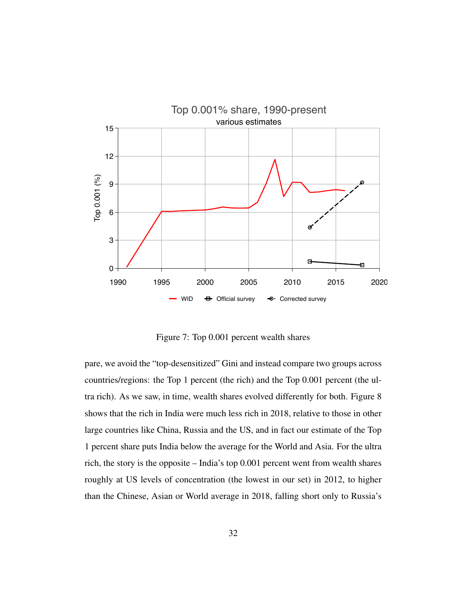

Figure 7: Top 0.001 percent wealth shares

pare, we avoid the "top-desensitized" Gini and instead compare two groups across countries/regions: the Top 1 percent (the rich) and the Top 0.001 percent (the ultra rich). As we saw, in time, wealth shares evolved differently for both. Figure 8 shows that the rich in India were much less rich in 2018, relative to those in other large countries like China, Russia and the US, and in fact our estimate of the Top 1 percent share puts India below the average for the World and Asia. For the ultra rich, the story is the opposite – India's top 0.001 percent went from wealth shares roughly at US levels of concentration (the lowest in our set) in 2012, to higher than the Chinese, Asian or World average in 2018, falling short only to Russia's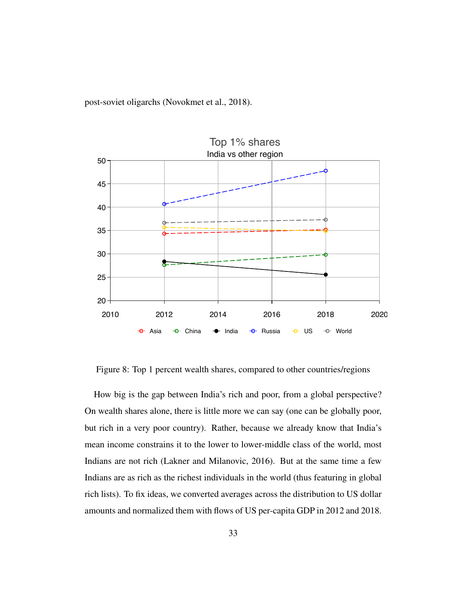post-soviet oligarchs (Novokmet et al., 2018).



Figure 8: Top 1 percent wealth shares, compared to other countries/regions

How big is the gap between India's rich and poor, from a global perspective? On wealth shares alone, there is little more we can say (one can be globally poor, but rich in a very poor country). Rather, because we already know that India's mean income constrains it to the lower to lower-middle class of the world, most Indians are not rich (Lakner and Milanovic, 2016). But at the same time a few Indians are as rich as the richest individuals in the world (thus featuring in global rich lists). To fix ideas, we converted averages across the distribution to US dollar amounts and normalized them with flows of US per-capita GDP in 2012 and 2018.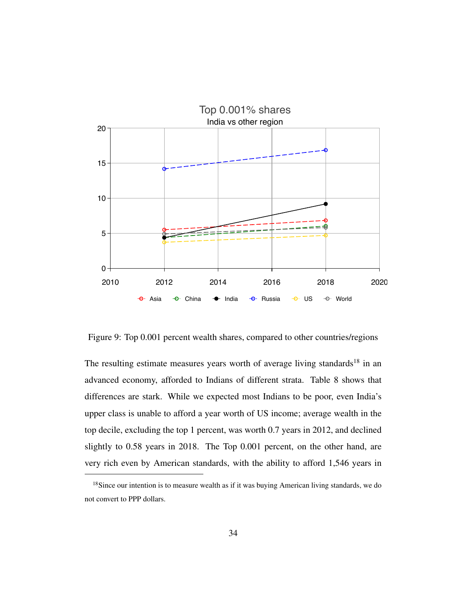

Figure 9: Top 0.001 percent wealth shares, compared to other countries/regions

The resulting estimate measures years worth of average living standards<sup>18</sup> in an advanced economy, afforded to Indians of different strata. Table 8 shows that differences are stark. While we expected most Indians to be poor, even India's upper class is unable to afford a year worth of US income; average wealth in the top decile, excluding the top 1 percent, was worth 0.7 years in 2012, and declined slightly to 0.58 years in 2018. The Top 0.001 percent, on the other hand, are very rich even by American standards, with the ability to afford 1,546 years in

<sup>&</sup>lt;sup>18</sup>Since our intention is to measure wealth as if it was buying American living standards, we do not convert to PPP dollars.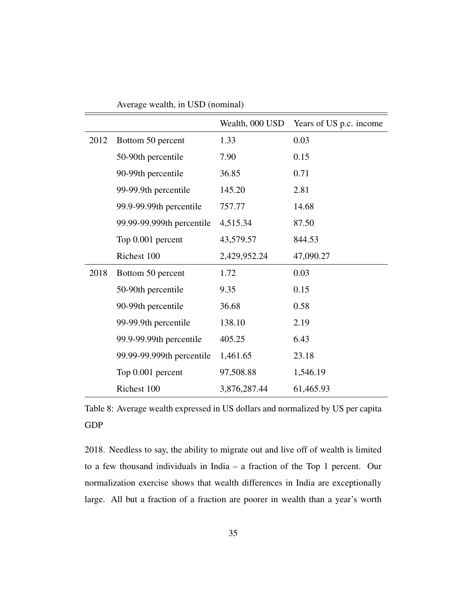|      |                           | Wealth, 000 USD | Years of US p.c. income |
|------|---------------------------|-----------------|-------------------------|
| 2012 | Bottom 50 percent         | 1.33            | 0.03                    |
|      | 50-90th percentile        | 7.90            | 0.15                    |
|      | 90-99th percentile        | 36.85           | 0.71                    |
|      | 99-99.9th percentile      | 145.20          | 2.81                    |
|      | 99.9-99.99th percentile   | 757.77          | 14.68                   |
|      | 99.99-99.999th percentile | 4,515.34        | 87.50                   |
|      | Top 0.001 percent         | 43,579.57       | 844.53                  |
|      | Richest 100               | 2,429,952.24    | 47,090.27               |
| 2018 | Bottom 50 percent         | 1.72            | 0.03                    |
|      | 50-90th percentile        | 9.35            | 0.15                    |
|      | 90-99th percentile        | 36.68           | 0.58                    |
|      | 99-99.9th percentile      | 138.10          | 2.19                    |
|      | 99.9-99.99th percentile   | 405.25          | 6.43                    |
|      | 99.99-99.999th percentile | 1,461.65        | 23.18                   |
|      | Top 0.001 percent         | 97,508.88       | 1,546.19                |
|      | Richest 100               | 3,876,287.44    | 61,465.93               |

Average wealth, in USD (nominal)

Table 8: Average wealth expressed in US dollars and normalized by US per capita GDP

2018. Needless to say, the ability to migrate out and live off of wealth is limited to a few thousand individuals in India – a fraction of the Top 1 percent. Our normalization exercise shows that wealth differences in India are exceptionally large. All but a fraction of a fraction are poorer in wealth than a year's worth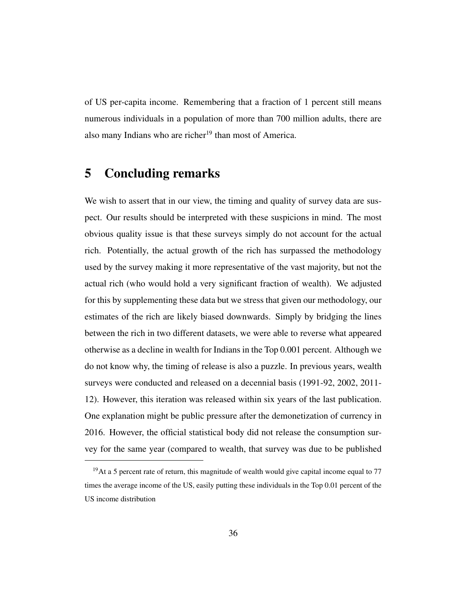of US per-capita income. Remembering that a fraction of 1 percent still means numerous individuals in a population of more than 700 million adults, there are also many Indians who are richer<sup>19</sup> than most of America.

# 5 Concluding remarks

We wish to assert that in our view, the timing and quality of survey data are suspect. Our results should be interpreted with these suspicions in mind. The most obvious quality issue is that these surveys simply do not account for the actual rich. Potentially, the actual growth of the rich has surpassed the methodology used by the survey making it more representative of the vast majority, but not the actual rich (who would hold a very significant fraction of wealth). We adjusted for this by supplementing these data but we stress that given our methodology, our estimates of the rich are likely biased downwards. Simply by bridging the lines between the rich in two different datasets, we were able to reverse what appeared otherwise as a decline in wealth for Indians in the Top 0.001 percent. Although we do not know why, the timing of release is also a puzzle. In previous years, wealth surveys were conducted and released on a decennial basis (1991-92, 2002, 2011- 12). However, this iteration was released within six years of the last publication. One explanation might be public pressure after the demonetization of currency in 2016. However, the official statistical body did not release the consumption survey for the same year (compared to wealth, that survey was due to be published

<sup>&</sup>lt;sup>19</sup>At a 5 percent rate of return, this magnitude of wealth would give capital income equal to  $77$ times the average income of the US, easily putting these individuals in the Top 0.01 percent of the US income distribution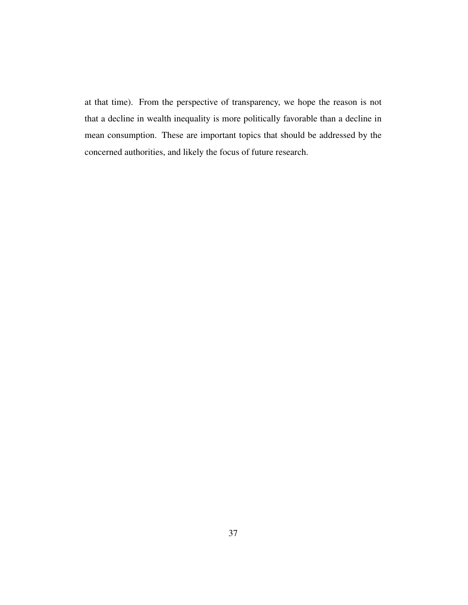at that time). From the perspective of transparency, we hope the reason is not that a decline in wealth inequality is more politically favorable than a decline in mean consumption. These are important topics that should be addressed by the concerned authorities, and likely the focus of future research.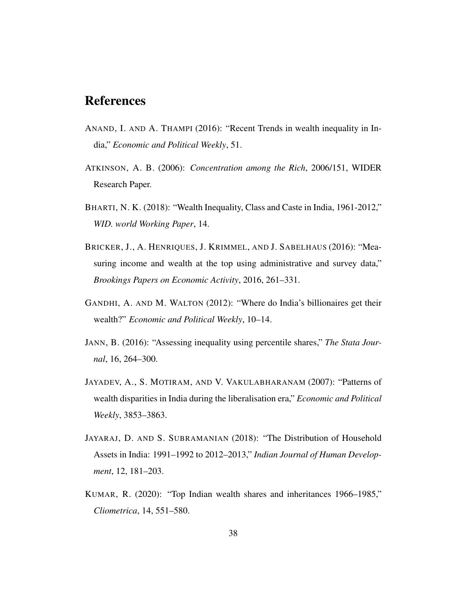# References

- ANAND, I. AND A. THAMPI (2016): "Recent Trends in wealth inequality in India," *Economic and Political Weekly*, 51.
- ATKINSON, A. B. (2006): *Concentration among the Rich*, 2006/151, WIDER Research Paper.
- BHARTI, N. K. (2018): "Wealth Inequality, Class and Caste in India, 1961-2012," *WID. world Working Paper*, 14.
- BRICKER, J., A. HENRIQUES, J. KRIMMEL, AND J. SABELHAUS (2016): "Measuring income and wealth at the top using administrative and survey data," *Brookings Papers on Economic Activity*, 2016, 261–331.
- GANDHI, A. AND M. WALTON (2012): "Where do India's billionaires get their wealth?" *Economic and Political Weekly*, 10–14.
- JANN, B. (2016): "Assessing inequality using percentile shares," *The Stata Journal*, 16, 264–300.
- JAYADEV, A., S. MOTIRAM, AND V. VAKULABHARANAM (2007): "Patterns of wealth disparities in India during the liberalisation era," *Economic and Political Weekly*, 3853–3863.
- JAYARAJ, D. AND S. SUBRAMANIAN (2018): "The Distribution of Household Assets in India: 1991–1992 to 2012–2013," *Indian Journal of Human Development*, 12, 181–203.
- KUMAR, R. (2020): "Top Indian wealth shares and inheritances 1966–1985," *Cliometrica*, 14, 551–580.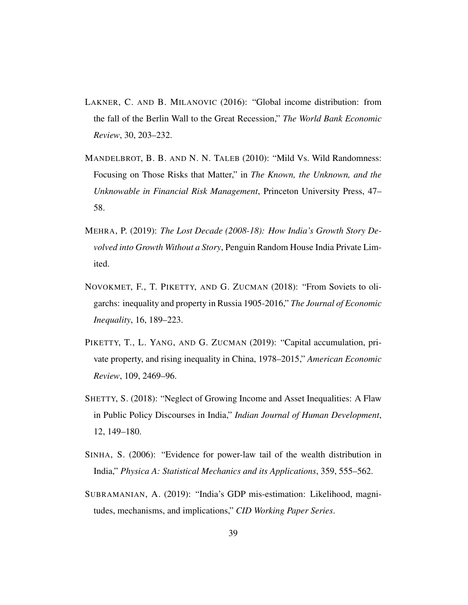- LAKNER, C. AND B. MILANOVIC (2016): "Global income distribution: from the fall of the Berlin Wall to the Great Recession," *The World Bank Economic Review*, 30, 203–232.
- MANDELBROT, B. B. AND N. N. TALEB (2010): "Mild Vs. Wild Randomness: Focusing on Those Risks that Matter," in *The Known, the Unknown, and the Unknowable in Financial Risk Management*, Princeton University Press, 47– 58.
- MEHRA, P. (2019): *The Lost Decade (2008-18): How India's Growth Story Devolved into Growth Without a Story*, Penguin Random House India Private Limited.
- NOVOKMET, F., T. PIKETTY, AND G. ZUCMAN (2018): "From Soviets to oligarchs: inequality and property in Russia 1905-2016," *The Journal of Economic Inequality*, 16, 189–223.
- PIKETTY, T., L. YANG, AND G. ZUCMAN (2019): "Capital accumulation, private property, and rising inequality in China, 1978–2015," *American Economic Review*, 109, 2469–96.
- SHETTY, S. (2018): "Neglect of Growing Income and Asset Inequalities: A Flaw in Public Policy Discourses in India," *Indian Journal of Human Development*, 12, 149–180.
- SINHA, S. (2006): "Evidence for power-law tail of the wealth distribution in India," *Physica A: Statistical Mechanics and its Applications*, 359, 555–562.
- SUBRAMANIAN, A. (2019): "India's GDP mis-estimation: Likelihood, magnitudes, mechanisms, and implications," *CID Working Paper Series*.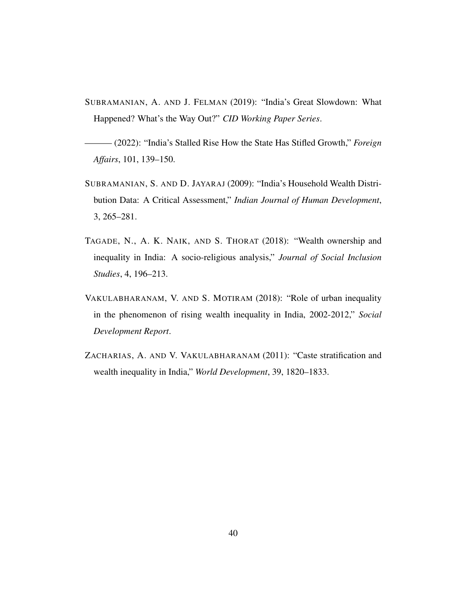- SUBRAMANIAN, A. AND J. FELMAN (2019): "India's Great Slowdown: What Happened? What's the Way Out?" *CID Working Paper Series*.
- ——— (2022): "India's Stalled Rise How the State Has Stifled Growth," *Foreign Affairs*, 101, 139–150.
- SUBRAMANIAN, S. AND D. JAYARAJ (2009): "India's Household Wealth Distribution Data: A Critical Assessment," *Indian Journal of Human Development*, 3, 265–281.
- TAGADE, N., A. K. NAIK, AND S. THORAT (2018): "Wealth ownership and inequality in India: A socio-religious analysis," *Journal of Social Inclusion Studies*, 4, 196–213.
- VAKULABHARANAM, V. AND S. MOTIRAM (2018): "Role of urban inequality in the phenomenon of rising wealth inequality in India, 2002-2012," *Social Development Report*.
- ZACHARIAS, A. AND V. VAKULABHARANAM (2011): "Caste stratification and wealth inequality in India," *World Development*, 39, 1820–1833.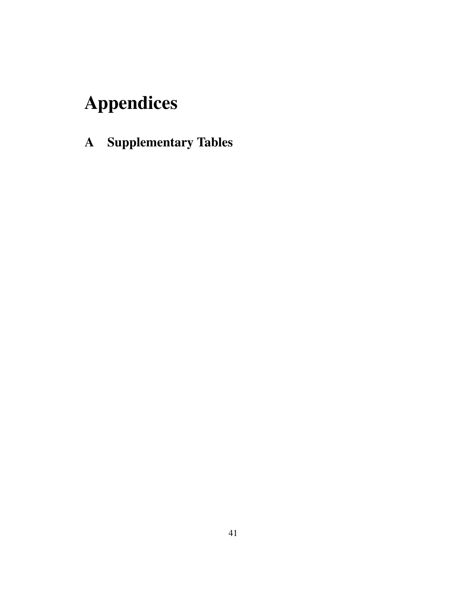# Appendices

A Supplementary Tables